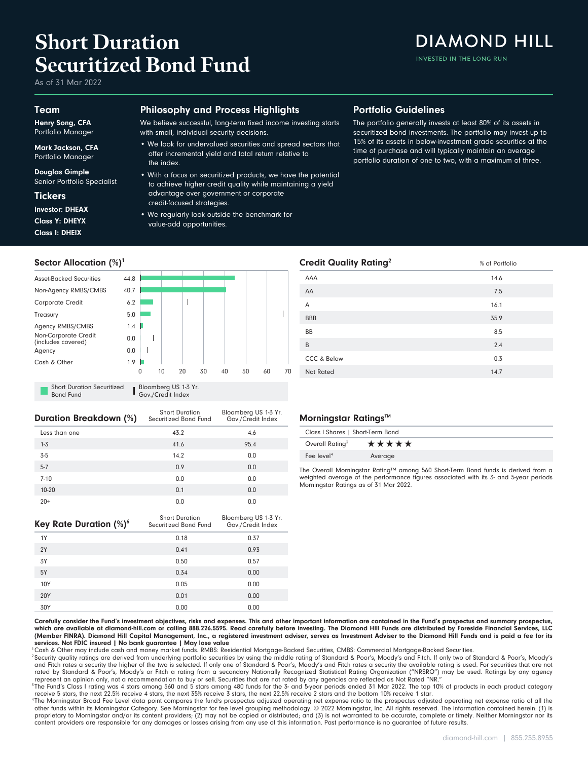# **Short Duration Securitized Bond Fund**

As of 31 Mar 2022

#### Team

Henry Song, CFA Portfolio Manager

Mark Jackson, CFA Portfolio Manager

Douglas Gimple Senior Portfolio Specialist

**Tickers** Class I: DHEIX Class Y: DHEYX Investor: DHEAX

#### Philosophy and Process Highlights

We believe successful, long-term fixed income investing starts with small, individual security decisions.

- We look for undervalued securities and spread sectors that offer incremental yield and total return relative to the index.
- With a focus on securitized products, we have the potential to achieve higher credit quality while maintaining a yield advantage over government or corporate credit-focused strategies.
- We regularly look outside the benchmark for value-add opportunities.

### Portfolio Guidelines

The portfolio generally invests at least 80% of its assets in securitized bond investments. The portfolio may invest up to 15% of its assets in below-investment grade securities at the time of purchase and will typically maintain an average portfolio duration of one to two, with a maximum of three.



Bond Fund Gov./Credit Index

| Duration Breakdown (%) | <b>Short Duration</b><br>Securitized Bond Fund | Bloomberg US 1-3 Yr.<br>Gov./Credit Index |
|------------------------|------------------------------------------------|-------------------------------------------|
| Less than one          | 43.2                                           | 4.6                                       |
| $1 - 3$                | 41.6                                           | 95.4                                      |
| $3-5$                  | 14.2                                           | 0.0                                       |
| $5 - 7$                | 0.9                                            | 0.0                                       |
| $7 - 10$               | 0.0                                            | 0.0                                       |
| 10-20                  | 0.1                                            | 0.0                                       |
| $20+$                  | 0.0                                            | 0.0                                       |
|                        |                                                |                                           |

| Key Rate Duration (%) <sup>6</sup> | <b>Short Duration</b><br>Securitized Bond Fund | Bloomberg US 1-3 Yr.<br>Gov./Credit Index |  |  |
|------------------------------------|------------------------------------------------|-------------------------------------------|--|--|
| 1Y                                 | 0.18                                           | 0.37                                      |  |  |
| 2Y                                 | 0.41                                           | 0.93                                      |  |  |
| 3Y                                 | 0.50                                           | 0.57                                      |  |  |
| 5Y                                 | 0.34                                           | 0.00                                      |  |  |
| 10Y                                | 0.05                                           | 0.00                                      |  |  |
| 20Y                                | 0.01                                           | 0.00                                      |  |  |
| 30Y                                | 0.00                                           | 0.00                                      |  |  |

| Morningstar Ratings™             |         |  |  |
|----------------------------------|---------|--|--|
| Class I Shares   Short-Term Bond |         |  |  |
| Overall Rating <sup>3</sup>      | *****   |  |  |
| Fee level <sup>4</sup>           | Average |  |  |
|                                  |         |  |  |

Not Rated 2008 and 2008 and 2008 and 2008 and 2008 and 2008 and 2008 and 2008 and 2008 and 2008 and 2008 and 20 CCC & Below 0.3  $\mathsf B$  2.4  $BB$  8.5 BBB 35.9  $\mathsf A$  16.1  $AA$  7.5  $AAA$  14.6 **Credit Quality Rating<sup>2</sup>** 8 of Portfolio

The Overall Morningstar Rating™ among 560 Short-Term Bond funds is derived from a weighted average of the performance figures associated with its 3- and 5-year periods Morningstar Ratings as of 31 Mar 2022.

Carefully consider the Fund's investment objectives, risks and expenses. This and other important information are contained in the Fund's prospectus and summary prospectus, which are available at diamond-hill.com or calling 888.226.5595. Read carefully before investing. The Diamond Hill Funds are distributed by Foreside Financial Services, LLC (Member FINRA). Diamond Hill Capital Management, Inc., a registered investment adviser, serves as Investment Adviser to the Diamond Hill Funds and is paid a fee for its services. Not FDIC insured | No bank guarantee | May lose value

<sup>1</sup>Cash & Other may include cash and money market funds. RMBS: Residential Mortgage-Backed Securities, CMBS: Commercial Mortgage-Backed Securities.

<sup>2</sup> Security quality ratings are derived from underlying portfolio securities by using the middle rating of Standard & Poor's, Moody's and Fitch. If only two of Standard & Poor's, Moody's and Fitch rates a security the higher of the two is selected. If only one of Standard & Poor's, Moody's and Fitch rates a security the available rating is used. For securities that are not<br>rated by Standard & Poor's, Moody represent an opinion only, not a recommendation to buy or sell. Securities that are not rated by any agencies are reflected as Not Rated "NR."

<sup>3</sup>The Fund's Class I rating was 4 stars among 560 and 5 stars among 480 funds for the 3- and 5-year periods ended 31 Mar 2022. The top 10% of products in each product category receive 5 stars, the next 22.5% receive 4 stars, the next 35% receive 3 stars, the next 22.5% receive 2 stars and the bottom 10% receive 1 star.

<sup>4</sup>The Morningstar Broad Fee Level data point compares the fund's prospectus adjusted operating net expense ratio of and the or operating net expense ratio of all the other funds within its Morningstar Category. See Morningstar for fee level grouping methodology. © 2022 Morningstar, Inc. All rights reserved. The information contained herein: (1) is proprietary to Morningstar and/or its content providers; (2) may not be copied or distributed; and (3) is not warranted to be accurate, complete or timely. Neither Morningstar nor its<br>content providers are responsible for